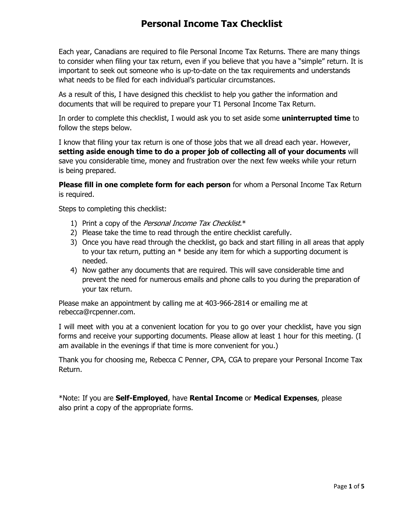# **Personal Income Tax Checklist**

Each year, Canadians are required to file Personal Income Tax Returns. There are many things to consider when filing your tax return, even if you believe that you have a "simple" return. It is important to seek out someone who is up-to-date on the tax requirements and understands what needs to be filed for each individual's particular circumstances.

As a result of this, I have designed this checklist to help you gather the information and documents that will be required to prepare your T1 Personal Income Tax Return.

In order to complete this checklist, I would ask you to set aside some **uninterrupted time** to follow the steps below.

I know that filing your tax return is one of those jobs that we all dread each year. However, **setting aside enough time to do a proper job of collecting all of your documents** will save you considerable time, money and frustration over the next few weeks while your return is being prepared.

**Please fill in one complete form for each person** for whom a Personal Income Tax Return is required.

Steps to completing this checklist:

- 1) Print a copy of the *Personal Income Tax Checklist*. $*$
- 2) Please take the time to read through the entire checklist carefully.
- 3) Once you have read through the checklist, go back and start filling in all areas that apply to your tax return, putting an \* beside any item for which a supporting document is needed.
- 4) Now gather any documents that are required. This will save considerable time and prevent the need for numerous emails and phone calls to you during the preparation of your tax return.

Please make an appointment by calling me at 403-966-2814 or emailing me at rebecca@rcpenner.com.

I will meet with you at a convenient location for you to go over your checklist, have you sign forms and receive your supporting documents. Please allow at least 1 hour for this meeting. (I am available in the evenings if that time is more convenient for you.)

Thank you for choosing me, Rebecca C Penner, CPA, CGA to prepare your Personal Income Tax Return.

\*Note: If you are **Self-Employed**, have **Rental Income** or **Medical Expenses**, please also print a copy of the appropriate forms.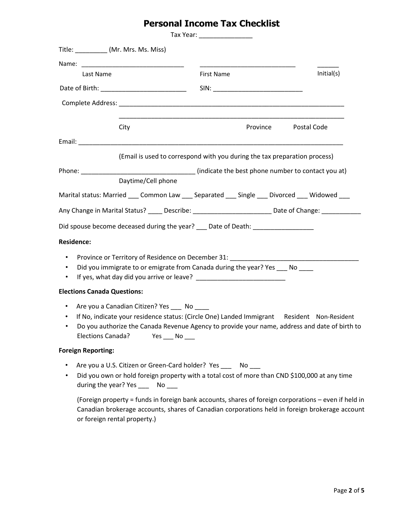# **Personal Income Tax Checklist**

|                                                                                                                                                                                                                                |                                                                                                                                                                                                                                                                   | Tax Year: ___________________ |          |             |
|--------------------------------------------------------------------------------------------------------------------------------------------------------------------------------------------------------------------------------|-------------------------------------------------------------------------------------------------------------------------------------------------------------------------------------------------------------------------------------------------------------------|-------------------------------|----------|-------------|
| Title: (Mr. Mrs. Ms. Miss)                                                                                                                                                                                                     |                                                                                                                                                                                                                                                                   |                               |          |             |
|                                                                                                                                                                                                                                |                                                                                                                                                                                                                                                                   |                               |          |             |
| Last Name                                                                                                                                                                                                                      |                                                                                                                                                                                                                                                                   | First Name                    |          | Initial(s)  |
|                                                                                                                                                                                                                                |                                                                                                                                                                                                                                                                   |                               |          |             |
|                                                                                                                                                                                                                                |                                                                                                                                                                                                                                                                   |                               |          |             |
|                                                                                                                                                                                                                                | City                                                                                                                                                                                                                                                              |                               | Province | Postal Code |
|                                                                                                                                                                                                                                |                                                                                                                                                                                                                                                                   |                               |          |             |
|                                                                                                                                                                                                                                | (Email is used to correspond with you during the tax preparation process)                                                                                                                                                                                         |                               |          |             |
| Phone: and the state of the state of the state of the state of the state of the state of the state of the state of the state of the state of the state of the state of the state of the state of the state of the state of the | (indicate the best phone number to contact you at)                                                                                                                                                                                                                |                               |          |             |
|                                                                                                                                                                                                                                | Daytime/Cell phone                                                                                                                                                                                                                                                |                               |          |             |
|                                                                                                                                                                                                                                | Marital status: Married ____ Common Law ____ Separated ____ Single ____ Divorced ____ Widowed ___                                                                                                                                                                 |                               |          |             |
|                                                                                                                                                                                                                                | Any Change in Marital Status? _____ Describe: __________________________ Date of Change: ___________                                                                                                                                                              |                               |          |             |
|                                                                                                                                                                                                                                | Did spouse become deceased during the year? Date of Death:                                                                                                                                                                                                        |                               |          |             |
| <b>Residence:</b>                                                                                                                                                                                                              |                                                                                                                                                                                                                                                                   |                               |          |             |
| $\bullet$<br>$\bullet$                                                                                                                                                                                                         | Province or Territory of Residence on December 31: ______________________________<br>Did you immigrate to or emigrate from Canada during the year? Yes No<br>If yes, what day did you arrive or leave?                                                            |                               |          |             |
| <b>Elections Canada Questions:</b>                                                                                                                                                                                             |                                                                                                                                                                                                                                                                   |                               |          |             |
| $\bullet$                                                                                                                                                                                                                      | Are you a Canadian Citizen? Yes No<br>If No, indicate your residence status: (Circle One) Landed Immigrant Resident Non-Resident<br>Do you authorize the Canada Revenue Agency to provide your name, address and date of birth to<br>Elections Canada? Yes ___ No |                               |          |             |
| <b>Foreign Reporting:</b>                                                                                                                                                                                                      |                                                                                                                                                                                                                                                                   |                               |          |             |

- Are you a U.S. Citizen or Green-Card holder? Yes \_\_\_ No \_\_\_
- Did you own or hold foreign property with a total cost of more than CND \$100,000 at any time during the year? Yes \_\_\_ No \_\_\_

(Foreign property = funds in foreign bank accounts, shares of foreign corporations – even if held in Canadian brokerage accounts, shares of Canadian corporations held in foreign brokerage account or foreign rental property.)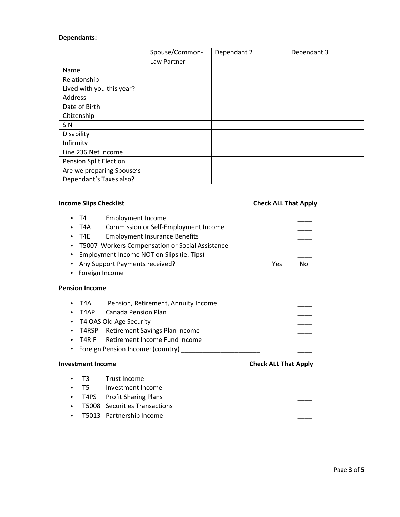## **Dependants:**

|                               | Spouse/Common- | Dependant 2 | Dependant 3 |
|-------------------------------|----------------|-------------|-------------|
|                               | Law Partner    |             |             |
| Name                          |                |             |             |
| Relationship                  |                |             |             |
| Lived with you this year?     |                |             |             |
| Address                       |                |             |             |
| Date of Birth                 |                |             |             |
| Citizenship                   |                |             |             |
| <b>SIN</b>                    |                |             |             |
| Disability                    |                |             |             |
| Infirmity                     |                |             |             |
| Line 236 Net Income           |                |             |             |
| <b>Pension Split Election</b> |                |             |             |
| Are we preparing Spouse's     |                |             |             |
| Dependant's Taxes also?       |                |             |             |

# **Income Slips Checklist Check ALL That Apply**

|           | T4                       | <b>Employment Income</b>                               |                             |     |
|-----------|--------------------------|--------------------------------------------------------|-----------------------------|-----|
|           | T4A                      | Commission or Self-Employment Income                   |                             |     |
|           | T4E                      | <b>Employment Insurance Benefits</b>                   |                             |     |
|           |                          | T5007 Workers Compensation or Social Assistance        |                             |     |
|           |                          | Employment Income NOT on Slips (ie. Tips)              |                             |     |
| $\bullet$ |                          | Any Support Payments received?                         | Yes                         | No. |
|           | Foreign Income           |                                                        |                             |     |
|           | <b>Pension Income</b>    |                                                        |                             |     |
|           | T4A                      | Pension, Retirement, Annuity Income                    |                             |     |
|           | T4AP                     | Canada Pension Plan                                    |                             |     |
|           |                          | T4 OAS Old Age Security                                |                             |     |
| ٠         | T4RSP                    | Retirement Savings Plan Income                         |                             |     |
|           | T4RIF                    | Retirement Income Fund Income                          |                             |     |
|           |                          | Foreign Pension Income: (country) ____________________ |                             |     |
|           | <b>Investment Income</b> |                                                        | <b>Check ALL That Apply</b> |     |
|           | T <sub>3</sub>           | Trust Income                                           |                             |     |
|           | T5                       | Investment Income                                      |                             |     |
|           | T4PS                     | <b>Profit Sharing Plans</b>                            |                             |     |
|           |                          | <b>T5008</b> Securities Transactions                   |                             |     |
|           | T5013                    | Partnership Income                                     |                             |     |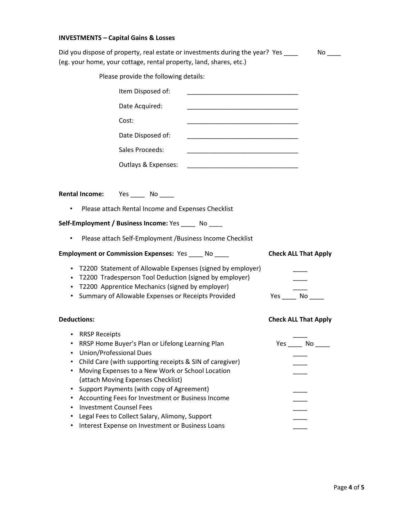## **INVESTMENTS – Capital Gains & Losses**

|                                                                                                                                                                                                  | Did you dispose of property, real estate or investments during the year? Yes ____<br>(eg. your home, your cottage, rental property, land, shares, etc.)                                                                                                                                                                                                                                                        |                             |
|--------------------------------------------------------------------------------------------------------------------------------------------------------------------------------------------------|----------------------------------------------------------------------------------------------------------------------------------------------------------------------------------------------------------------------------------------------------------------------------------------------------------------------------------------------------------------------------------------------------------------|-----------------------------|
|                                                                                                                                                                                                  | Please provide the following details:                                                                                                                                                                                                                                                                                                                                                                          |                             |
|                                                                                                                                                                                                  | Item Disposed of:                                                                                                                                                                                                                                                                                                                                                                                              |                             |
|                                                                                                                                                                                                  | Date Acquired:<br>the control of the control of the control of the control of the control of the control of the control of the control of the control of the control of the control of the control of the control of the control of the control                                                                                                                                                                |                             |
| Cost:                                                                                                                                                                                            |                                                                                                                                                                                                                                                                                                                                                                                                                |                             |
|                                                                                                                                                                                                  | Date Disposed of:<br><u> 1989 - Johann Stein, mars et al. (1989)</u>                                                                                                                                                                                                                                                                                                                                           |                             |
|                                                                                                                                                                                                  | Sales Proceeds:                                                                                                                                                                                                                                                                                                                                                                                                |                             |
|                                                                                                                                                                                                  | Outlays & Expenses:<br>the control of the control of the control of the control of the control of the control of                                                                                                                                                                                                                                                                                               |                             |
|                                                                                                                                                                                                  |                                                                                                                                                                                                                                                                                                                                                                                                                |                             |
| <b>Rental Income:</b>                                                                                                                                                                            | Yes $\rule{1em}{0.15mm}$ No $\rule{1em}{0.15mm}$                                                                                                                                                                                                                                                                                                                                                               |                             |
| $\bullet$                                                                                                                                                                                        | Please attach Rental Income and Expenses Checklist                                                                                                                                                                                                                                                                                                                                                             |                             |
|                                                                                                                                                                                                  | Self-Employment / Business Income: Yes _____ No ____                                                                                                                                                                                                                                                                                                                                                           |                             |
| $\bullet$                                                                                                                                                                                        | Please attach Self-Employment / Business Income Checklist                                                                                                                                                                                                                                                                                                                                                      |                             |
|                                                                                                                                                                                                  | Employment or Commission Expenses: Yes ____ No ____                                                                                                                                                                                                                                                                                                                                                            | <b>Check ALL That Apply</b> |
| $\bullet$<br>$\bullet$<br>$\bullet$                                                                                                                                                              | T2200 Statement of Allowable Expenses (signed by employer)<br>T2200 Tradesperson Tool Deduction (signed by employer)<br>T2200 Apprentice Mechanics (signed by employer)<br>Summary of Allowable Expenses or Receipts Provided                                                                                                                                                                                  | Yes No                      |
| <b>Deductions:</b>                                                                                                                                                                               |                                                                                                                                                                                                                                                                                                                                                                                                                | <b>Check ALL That Apply</b> |
| <b>RRSP Receipts</b><br>$\bullet$<br><b>Union/Professional Dues</b><br>$\bullet$<br>$\bullet$<br>$\bullet$<br>$\bullet$<br>$\bullet$<br><b>Investment Counsel Fees</b><br>$\bullet$<br>$\bullet$ | RRSP Home Buyer's Plan or Lifelong Learning Plan<br>Child Care (with supporting receipts & SIN of caregiver)<br>Moving Expenses to a New Work or School Location<br>(attach Moving Expenses Checklist)<br>Support Payments (with copy of Agreement)<br>Accounting Fees for Investment or Business Income<br>Legal Fees to Collect Salary, Alimony, Support<br>Interest Expense on Investment or Business Loans |                             |